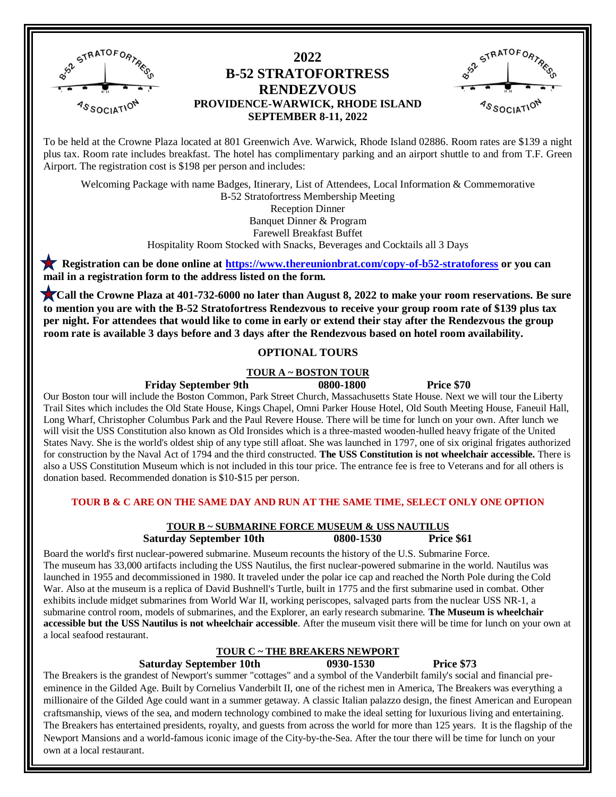

## **2022 B-52 STRATOFORTRESS RENDEZVOUS PROVIDENCE-WARWICK, RHODE ISLAND SEPTEMBER 8-11, 2022**



To be held at the Crowne Plaza located at 801 Greenwich Ave. Warwick, Rhode Island 02886. Room rates are \$139 a night To be held at the Crowne Plaza located at 801 Greenwich Ave. Warwick, Rhode Island 02886. Room rates are \$139 a night<br>plus tax. Room rate includes breakfast. The hotel has complimentary parking and an airport shuttle to an Airport. The registration cost is \$198 per person and includes:

Welcoming Package with name Badges, Itinerary, List of Attendees, Local Information & Commemorative B-52 Stratofortress Membership Meeting Reception Dinner Banquet Dinner & Program Farewell Breakfast Buffet

Hospitality Room Stocked with Snacks, Beverages and Cocktails all 3 Days

 **Registration can be done online at<https://www.thereunionbrat.com/copy-of-b52-stratoforess> or you can mail in a registration form to the address listed on the form.** 

 **Call the Crowne Plaza at 401-732-6000 no later than August 8, 2022 to make your room reservations. Be sure to mention you are with the B-52 Stratofortress Rendezvous to receive your group room rate of \$139 plus tax per night. For attendees that would like to come in early or extend their stay after the Rendezvous the group room rate is available 3 days before and 3 days after the Rendezvous based on hotel room availability.**

### **OPTIONAL TOURS**

### **TOUR A ~ BOSTON TOUR**

**Friday September 9th 0800-1800 Price \$70**

Our Boston tour will include the Boston Common, Park Street Church, Massachusetts State House. Next we will tour the Liberty Trail Sites which includes the Old State House, Kings Chapel, Omni Parker House Hotel, Old South Meeting House, Faneuil Hall, Long Wharf, Christopher Columbus Park and the Paul Revere House. There will be time for lunch on your own. After lunch we will visit the USS Constitution also known as Old Ironsides which is a three-masted wooden-hulled heavy frigate of the United States Navy. She is the world's oldest ship of any type still afloat. She was launched in 1797, one of six original frigates authorized for construction by the Naval Act of 1794 and the third constructed. **The USS Constitution is not wheelchair accessible.** There is also a USS Constitution Museum which is not included in this tour price. The entrance fee is free to Veterans and for all others is donation based. Recommended donation is \$10-\$15 per person.

### **TOUR B & C ARE ON THE SAME DAY AND RUN AT THE SAME TIME, SELECT ONLY ONE OPTION**

#### **TOUR B ~ SUBMARINE FORCE MUSEUM & USS NAUTILUS Saturday September 10th 0800-1530 Price \$61**

Board the world's first nuclear-powered submarine. Museum recounts the history of the U.S. Submarine Force. The museum has 33,000 artifacts including the USS [Nautilus,](https://en.wikipedia.org/wiki/USS_Nautilus_(SSN-571)) the first nuclear-powered submarine in the world. Nautilus was launched in 1955 and decommissioned in 1980. It traveled under the polar ice cap and reached the North Pole during the Cold War. Also at the museum is a replica of [David Bushnell's](https://en.wikipedia.org/wiki/David_Bushnell) [Turtle,](https://en.wikipedia.org/wiki/American_Turtle) built in 1775 and the first submarine used in combat. Other exhibits include midget submarines from World War II, working periscopes, salvaged parts from the nuclear USS [NR-1,](https://en.wikipedia.org/wiki/American_submarine_NR-1) a submarine control room, models of submarines, and the Explorer, an early research submarine. **The Museum is wheelchair accessible but the USS Nautilus is not wheelchair accessible**. After the museum visit there will be time for lunch on your own at a local seafood restaurant. 

### **TOUR C ~ THE BREAKERS NEWPORT**

**Saturday September 10th 0930-1530 Price \$73**

The Breakers is the grandest of Newport's summer "cottages" and a symbol of the Vanderbilt family's social and financial preeminence in the Gilded Age. Built by Cornelius Vanderbilt II, one of the richest men in America, The Breakers was everything a millionaire of the Gilded Age could want in a summer getaway. A classic Italian palazzo design, the finest American and European craftsmanship, views of the sea, and modern technology combined to make the ideal setting for luxurious living and entertaining. The Breakers has entertained presidents, royalty, and guests from across the world for more than 125 years. It is the flagship of the Newport Mansions and a world-famous iconic image of the City-by-the-Sea. After the tour there will be time for lunch on your own at a local restaurant.